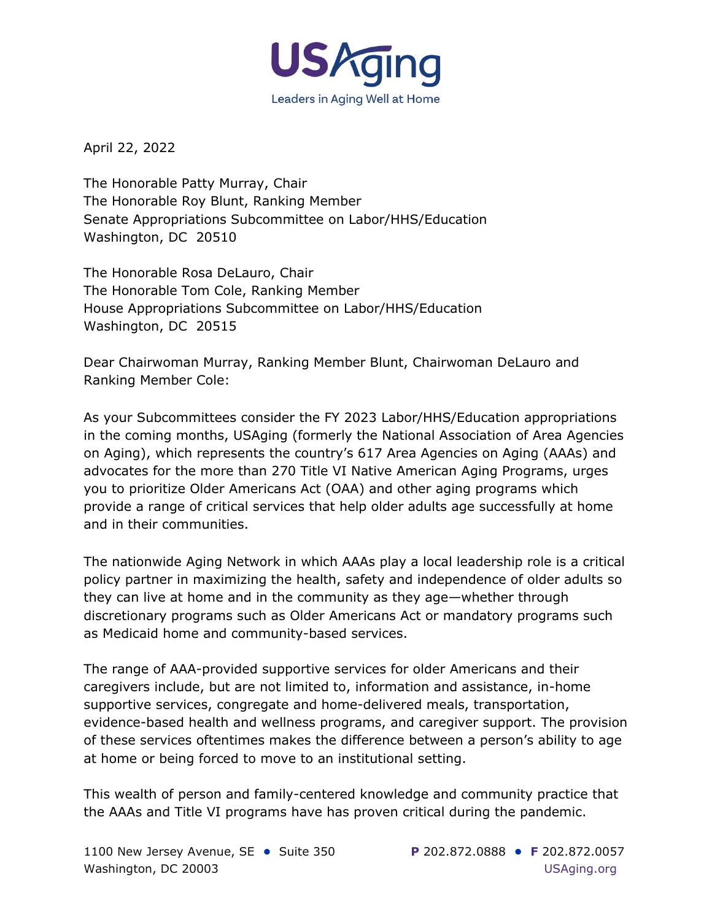

April 22, 2022

The Honorable Patty Murray, Chair The Honorable Roy Blunt, Ranking Member Senate Appropriations Subcommittee on Labor/HHS/Education Washington, DC 20510

The Honorable Rosa DeLauro, Chair The Honorable Tom Cole, Ranking Member House Appropriations Subcommittee on Labor/HHS/Education Washington, DC 20515

Dear Chairwoman Murray, Ranking Member Blunt, Chairwoman DeLauro and Ranking Member Cole:

As your Subcommittees consider the FY 2023 Labor/HHS/Education appropriations in the coming months, USAging (formerly the National Association of Area Agencies on Aging), which represents the country's 617 Area Agencies on Aging (AAAs) and advocates for the more than 270 Title VI Native American Aging Programs, urges you to prioritize Older Americans Act (OAA) and other aging programs which provide a range of critical services that help older adults age successfully at home and in their communities.

The nationwide Aging Network in which AAAs play a local leadership role is a critical policy partner in maximizing the health, safety and independence of older adults so they can live at home and in the community as they age—whether through discretionary programs such as Older Americans Act or mandatory programs such as Medicaid home and community-based services.

The range of AAA-provided supportive services for older Americans and their caregivers include, but are not limited to, information and assistance, in-home supportive services, congregate and home-delivered meals, transportation, evidence-based health and wellness programs, and caregiver support. The provision of these services oftentimes makes the difference between a person's ability to age at home or being forced to move to an institutional setting.

This wealth of person and family-centered knowledge and community practice that the AAAs and Title VI programs have has proven critical during the pandemic.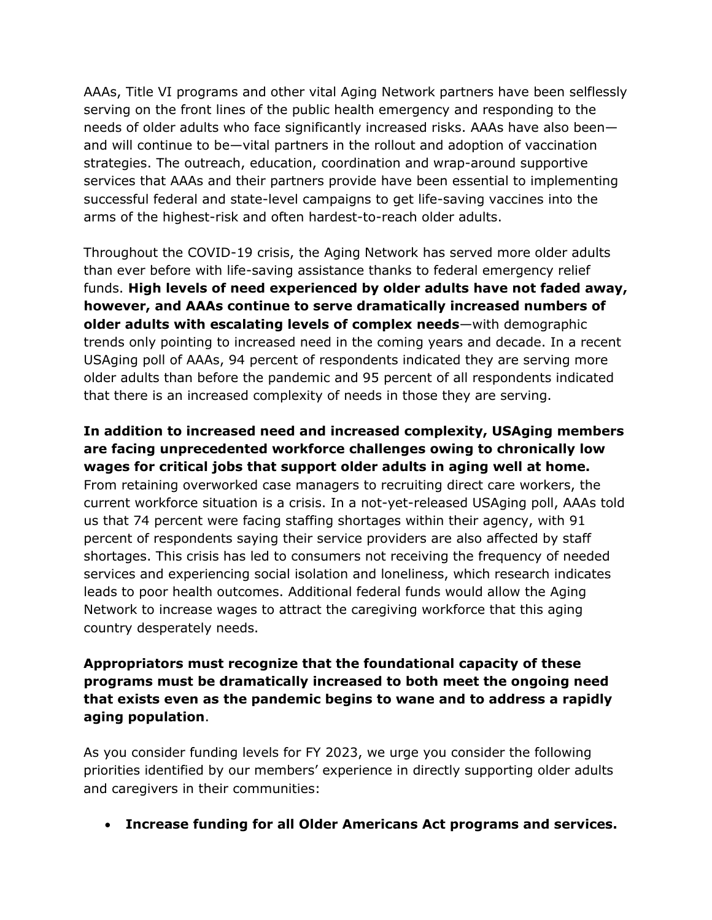AAAs, Title VI programs and other vital Aging Network partners have been selflessly serving on the front lines of the public health emergency and responding to the needs of older adults who face significantly increased risks. AAAs have also been and will continue to be—vital partners in the rollout and adoption of vaccination strategies. The outreach, education, coordination and wrap-around supportive services that AAAs and their partners provide have been essential to implementing successful federal and state-level campaigns to get life-saving vaccines into the arms of the highest-risk and often hardest-to-reach older adults.

Throughout the COVID-19 crisis, the Aging Network has served more older adults than ever before with life-saving assistance thanks to federal emergency relief funds. **High levels of need experienced by older adults have not faded away, however, and AAAs continue to serve dramatically increased numbers of older adults with escalating levels of complex needs**—with demographic trends only pointing to increased need in the coming years and decade. In a recent USAging poll of AAAs, 94 percent of respondents indicated they are serving more older adults than before the pandemic and 95 percent of all respondents indicated that there is an increased complexity of needs in those they are serving.

**In addition to increased need and increased complexity, USAging members are facing unprecedented workforce challenges owing to chronically low wages for critical jobs that support older adults in aging well at home.** From retaining overworked case managers to recruiting direct care workers, the current workforce situation is a crisis. In a not-yet-released USAging poll, AAAs told us that 74 percent were facing staffing shortages within their agency, with 91 percent of respondents saying their service providers are also affected by staff shortages. This crisis has led to consumers not receiving the frequency of needed services and experiencing social isolation and loneliness, which research indicates leads to poor health outcomes. Additional federal funds would allow the Aging Network to increase wages to attract the caregiving workforce that this aging country desperately needs.

## **Appropriators must recognize that the foundational capacity of these programs must be dramatically increased to both meet the ongoing need that exists even as the pandemic begins to wane and to address a rapidly aging population**.

As you consider funding levels for FY 2023, we urge you consider the following priorities identified by our members' experience in directly supporting older adults and caregivers in their communities:

• **Increase funding for all Older Americans Act programs and services.**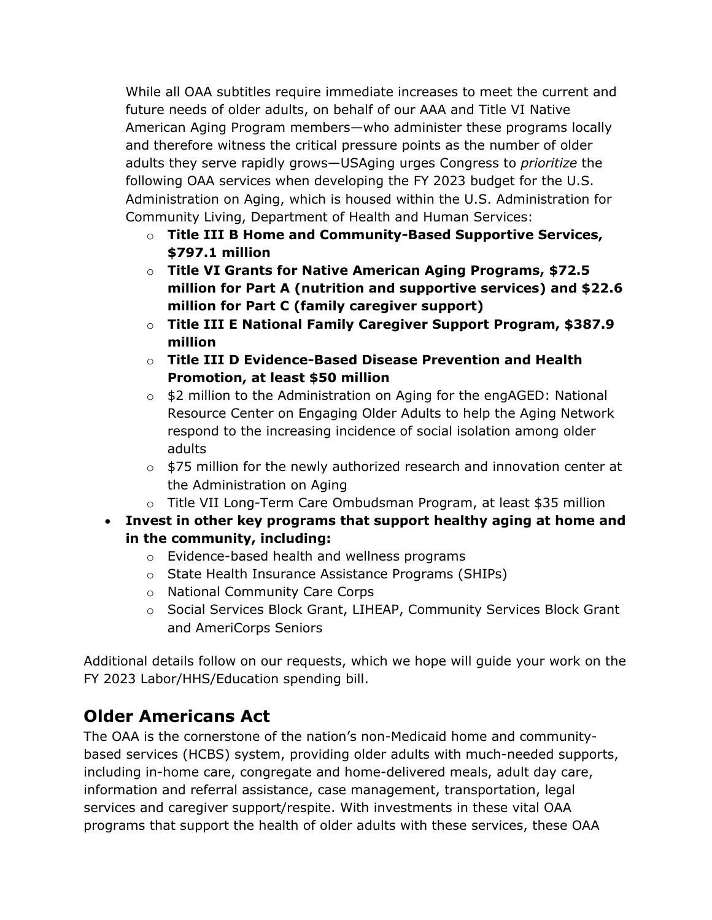While all OAA subtitles require immediate increases to meet the current and future needs of older adults, on behalf of our AAA and Title VI Native American Aging Program members—who administer these programs locally and therefore witness the critical pressure points as the number of older adults they serve rapidly grows—USAging urges Congress to *prioritize* the following OAA services when developing the FY 2023 budget for the U.S. Administration on Aging, which is housed within the U.S. Administration for Community Living, Department of Health and Human Services:

- o **Title III B Home and Community-Based Supportive Services, \$797.1 million**
- o **Title VI Grants for Native American Aging Programs, \$72.5 million for Part A (nutrition and supportive services) and \$22.6 million for Part C (family caregiver support)**
- o **Title III E National Family Caregiver Support Program, \$387.9 million**
- o **Title III D Evidence-Based Disease Prevention and Health Promotion, at least \$50 million**
- o \$2 million to the Administration on Aging for the engAGED: National Resource Center on Engaging Older Adults to help the Aging Network respond to the increasing incidence of social isolation among older adults
- $\circ$  \$75 million for the newly authorized research and innovation center at the Administration on Aging
- o Title VII Long-Term Care Ombudsman Program, at least \$35 million
- **Invest in other key programs that support healthy aging at home and in the community, including:**
	- o Evidence-based health and wellness programs
	- o State Health Insurance Assistance Programs (SHIPs)
	- o National Community Care Corps
	- o Social Services Block Grant, LIHEAP, Community Services Block Grant and AmeriCorps Seniors

Additional details follow on our requests, which we hope will guide your work on the FY 2023 Labor/HHS/Education spending bill.

# **Older Americans Act**

The OAA is the cornerstone of the nation's non-Medicaid home and communitybased services (HCBS) system, providing older adults with much-needed supports, including in-home care, congregate and home-delivered meals, adult day care, information and referral assistance, case management, transportation, legal services and caregiver support/respite. With investments in these vital OAA programs that support the health of older adults with these services, these OAA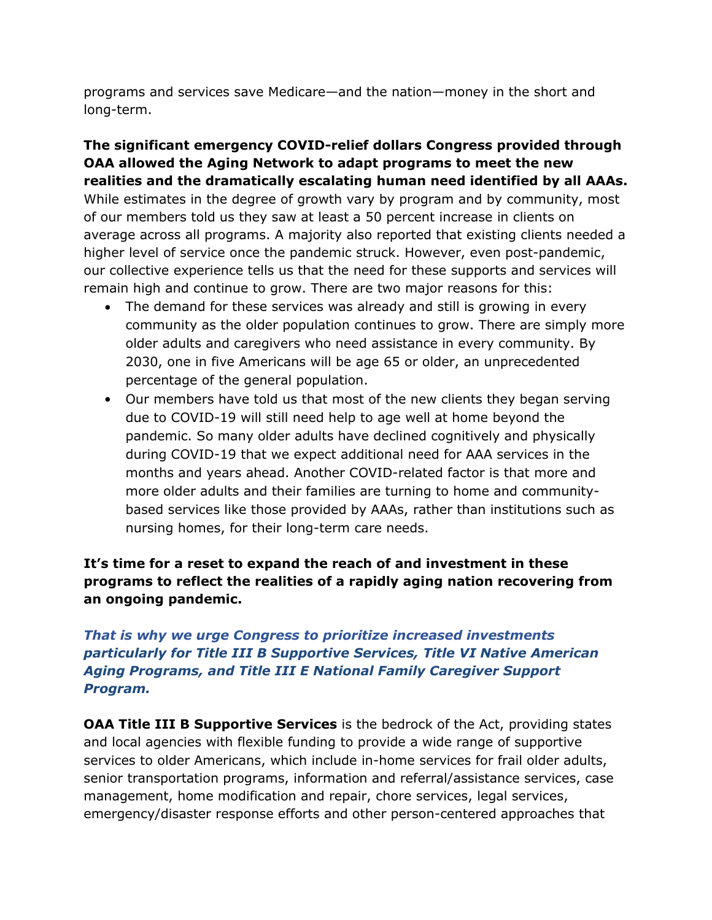programs and services save Medicare—and the nation—money in the short and long-term.

**The significant emergency COVID-relief dollars Congress provided through OAA allowed the Aging Network to adapt programs to meet the new realities and the dramatically escalating human need identified by all AAAs.**  While estimates in the degree of growth vary by program and by community, most of our members told us they saw at least a 50 percent increase in clients on average across all programs. A majority also reported that existing clients needed a higher level of service once the pandemic struck. However, even post-pandemic, our collective experience tells us that the need for these supports and services will remain high and continue to grow. There are two major reasons for this:

- The demand for these services was already and still is growing in every community as the older population continues to grow. There are simply more older adults and caregivers who need assistance in every community. By 2030, one in five Americans will be age 65 or older, an unprecedented percentage of the general population.
- Our members have told us that most of the new clients they began serving due to COVID-19 will still need help to age well at home beyond the pandemic. So many older adults have declined cognitively and physically during COVID-19 that we expect additional need for AAA services in the months and years ahead. Another COVID-related factor is that more and more older adults and their families are turning to home and communitybased services like those provided by AAAs, rather than institutions such as nursing homes, for their long-term care needs.

## **It's time for a reset to expand the reach of and investment in these programs to reflect the realities of a rapidly aging nation recovering from an ongoing pandemic.**

## *That is why we urge Congress to prioritize increased investments particularly for Title III B Supportive Services, Title VI Native American Aging Programs, and Title III E National Family Caregiver Support Program.*

**OAA Title III B Supportive Services** is the bedrock of the Act, providing states and local agencies with flexible funding to provide a wide range of supportive services to older Americans, which include in-home services for frail older adults, senior transportation programs, information and referral/assistance services, case management, home modification and repair, chore services, legal services, emergency/disaster response efforts and other person-centered approaches that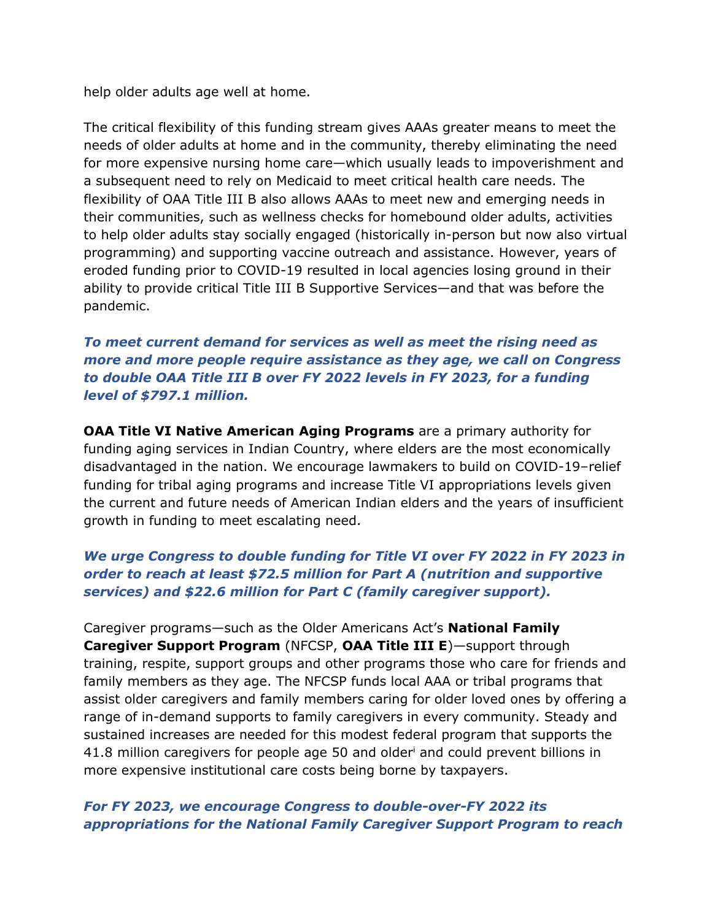help older adults age well at home.

The critical flexibility of this funding stream gives AAAs greater means to meet the needs of older adults at home and in the community, thereby eliminating the need for more expensive nursing home care—which usually leads to impoverishment and a subsequent need to rely on Medicaid to meet critical health care needs. The flexibility of OAA Title III B also allows AAAs to meet new and emerging needs in their communities, such as wellness checks for homebound older adults, activities to help older adults stay socially engaged (historically in-person but now also virtual programming) and supporting vaccine outreach and assistance. However, years of eroded funding prior to COVID-19 resulted in local agencies losing ground in their ability to provide critical Title III B Supportive Services—and that was before the pandemic.

*To meet current demand for services as well as meet the rising need as more and more people require assistance as they age, we call on Congress to double OAA Title III B over FY 2022 levels in FY 2023, for a funding level of \$797.1 million.* 

**OAA Title VI Native American Aging Programs** are a primary authority for funding aging services in Indian Country, where elders are the most economically disadvantaged in the nation. We encourage lawmakers to build on COVID-19–relief funding for tribal aging programs and increase Title VI appropriations levels given the current and future needs of American Indian elders and the years of insufficient growth in funding to meet escalating need.

### *We urge Congress to double funding for Title VI over FY 2022 in FY 2023 in order to reach at least \$72.5 million for Part A (nutrition and supportive services) and \$22.6 million for Part C (family caregiver support).*

Caregiver programs—such as the Older Americans Act's **National Family Caregiver Support Program** (NFCSP, **OAA Title III E**)—support through training, respite, support groups and other programs those who care for friends and family members as they age. The NFCSP funds local AAA or tribal programs that assist older caregivers and family members caring for older loved ones by offering a range of in-demand supports to family caregivers in every community. Steady and sustained increases are needed for this modest federal program that supports the 41.8 million caregivers for people age 50 and older<sup>i</sup> and could prevent billions in more expensive institutional care costs being borne by taxpayers.

#### *For FY 2023, we encourage Congress to double-over-FY 2022 its appropriations for the National Family Caregiver Support Program to reach*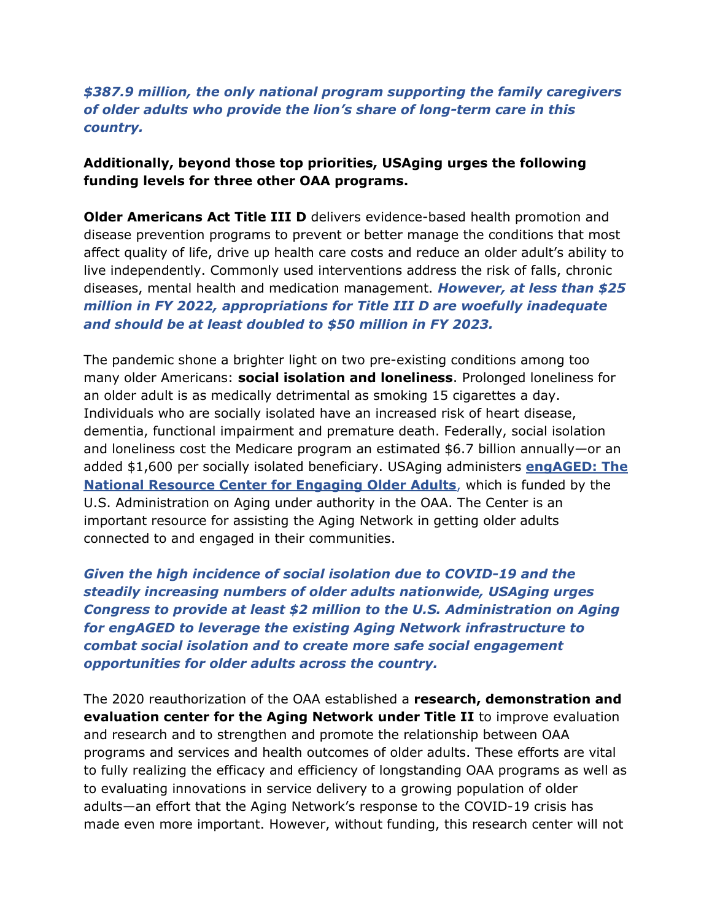#### *\$387.9 million, the only national program supporting the family caregivers of older adults who provide the lion's share of long-term care in this country.*

#### **Additionally, beyond those top priorities, USAging urges the following funding levels for three other OAA programs.**

**Older Americans Act Title III D** delivers evidence-based health promotion and disease prevention programs to prevent or better manage the conditions that most affect quality of life, drive up health care costs and reduce an older adult's ability to live independently. Commonly used interventions address the risk of falls, chronic diseases, mental health and medication management. *However, at less than \$25 million in FY 2022, appropriations for Title III D are woefully inadequate and should be at least doubled to \$50 million in FY 2023.*

The pandemic shone a brighter light on two pre-existing conditions among too many older Americans: **social isolation and loneliness**. Prolonged loneliness for an older adult is as medically detrimental as smoking 15 cigarettes a day. Individuals who are socially isolated have an increased risk of heart disease, dementia, functional impairment and premature death. Federally, social isolation and loneliness cost the Medicare program an estimated \$6.7 billion annually—or an added \$1,600 per socially isolated beneficiary. USAging administers **[engAGED: The](https://www.engagingolderadults.org/)  [National Resource Center for Engaging Older Adults](https://www.engagingolderadults.org/)**, which is funded by the U.S. Administration on Aging under authority in the OAA. The Center is an important resource for assisting the Aging Network in getting older adults connected to and engaged in their communities.

*Given the high incidence of social isolation due to COVID-19 and the steadily increasing numbers of older adults nationwide, USAging urges Congress to provide at least \$2 million to the U.S. Administration on Aging for engAGED to leverage the existing Aging Network infrastructure to combat social isolation and to create more safe social engagement opportunities for older adults across the country.* 

The 2020 reauthorization of the OAA established a **research, demonstration and evaluation center for the Aging Network under Title II** to improve evaluation and research and to strengthen and promote the relationship between OAA programs and services and health outcomes of older adults. These efforts are vital to fully realizing the efficacy and efficiency of longstanding OAA programs as well as to evaluating innovations in service delivery to a growing population of older adults—an effort that the Aging Network's response to the COVID-19 crisis has made even more important. However, without funding, this research center will not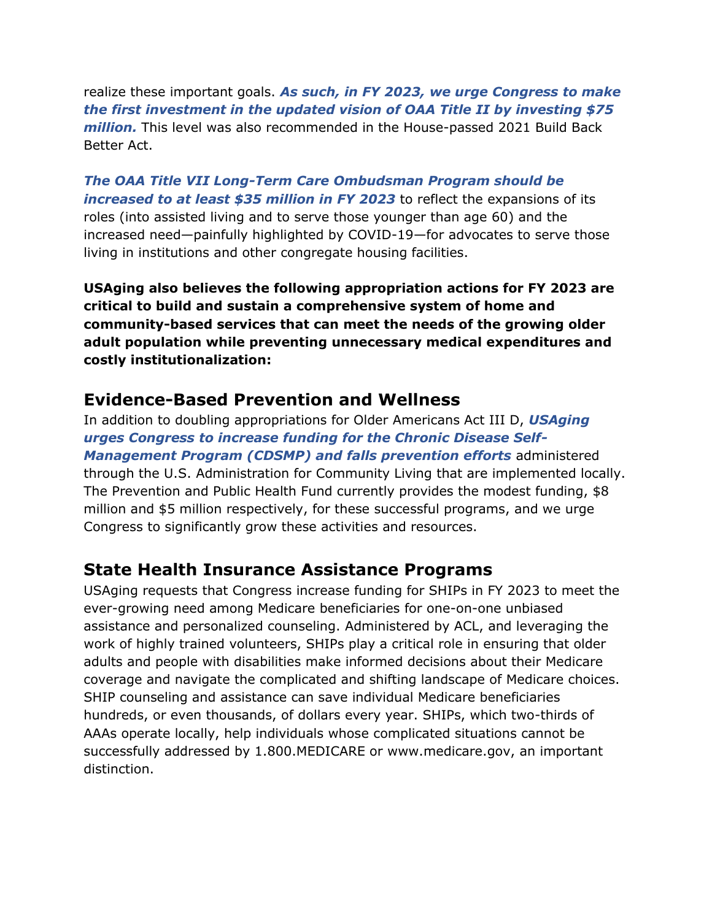realize these important goals. *As such, in FY 2023, we urge Congress to make the first investment in the updated vision of OAA Title II by investing \$75 million.* This level was also recommended in the House-passed 2021 Build Back Better Act.

*The OAA Title VII Long-Term Care Ombudsman Program should be increased to at least \$35 million in FY 2023* to reflect the expansions of its roles (into assisted living and to serve those younger than age 60) and the increased need—painfully highlighted by COVID-19—for advocates to serve those living in institutions and other congregate housing facilities.

**USAging also believes the following appropriation actions for FY 2023 are critical to build and sustain a comprehensive system of home and community-based services that can meet the needs of the growing older adult population while preventing unnecessary medical expenditures and costly institutionalization:**

## **Evidence-Based Prevention and Wellness**

In addition to doubling appropriations for Older Americans Act III D, *USAging urges Congress to increase funding for the Chronic Disease Self-Management Program (CDSMP) and falls prevention efforts* administered through the U.S. Administration for Community Living that are implemented locally. The Prevention and Public Health Fund currently provides the modest funding, \$8 million and \$5 million respectively, for these successful programs, and we urge Congress to significantly grow these activities and resources.

# **State Health Insurance Assistance Programs**

USAging requests that Congress increase funding for SHIPs in FY 2023 to meet the ever-growing need among Medicare beneficiaries for one-on-one unbiased assistance and personalized counseling. Administered by ACL, and leveraging the work of highly trained volunteers, SHIPs play a critical role in ensuring that older adults and people with disabilities make informed decisions about their Medicare coverage and navigate the complicated and shifting landscape of Medicare choices. SHIP counseling and assistance can save individual Medicare beneficiaries hundreds, or even thousands, of dollars every year. SHIPs, which two-thirds of AAAs operate locally, help individuals whose complicated situations cannot be successfully addressed by 1.800.MEDICARE or www.medicare.gov, an important distinction.